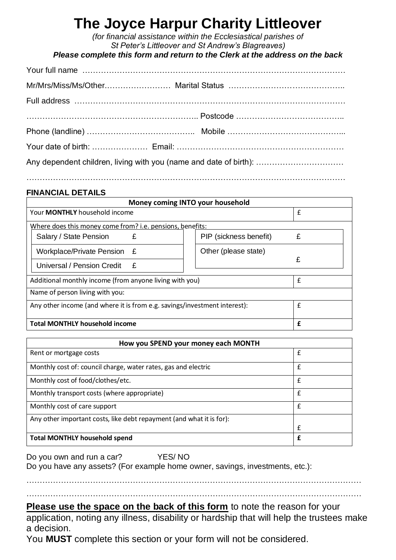## **The Joyce Harpur Charity Littleover**

*(for financial assistance within the Ecclesiastical parishes of St Peter's Littleover and St Andrew's Blagreaves)*

*Please complete this form and return to the Clerk at the address on the back*

| Any dependent children, living with you (name and date of birth): |  |  |
|-------------------------------------------------------------------|--|--|
|                                                                   |  |  |

#### . The same independent of the same independent of the same independent of the same independent of the same independent of the same independent of the same independent of the same independent of the same independent of the

### **FINANCIAL DETAILS**

| Money coming INTO your household                                          |                        |   |  |
|---------------------------------------------------------------------------|------------------------|---|--|
| Your <b>MONTHLY</b> household income                                      |                        | £ |  |
| Where does this money come from? i.e. pensions, benefits:                 |                        |   |  |
| Salary / State Pension<br>£                                               | PIP (sickness benefit) | £ |  |
| Workplace/Private Pension £                                               | Other (please state)   |   |  |
| Universal / Pension Credit<br>-£                                          |                        | £ |  |
| Additional monthly income (from anyone living with you)                   |                        | £ |  |
| Name of person living with you:                                           |                        |   |  |
| Any other income (and where it is from e.g. savings/investment interest): |                        | £ |  |
| <b>Total MONTHLY household income</b>                                     |                        | £ |  |

| How you SPEND your money each MONTH                                  |             |  |
|----------------------------------------------------------------------|-------------|--|
| Rent or mortgage costs                                               | £           |  |
| Monthly cost of: council charge, water rates, gas and electric       | £           |  |
| Monthly cost of food/clothes/etc.                                    | $\mathbf f$ |  |
| Monthly transport costs (where appropriate)                          | £           |  |
| Monthly cost of care support                                         | £           |  |
| Any other important costs, like debt repayment (and what it is for): |             |  |
|                                                                      | £           |  |
| <b>Total MONTHLY household spend</b>                                 | £           |  |

Do you own and run a car? YES/ NO Do you have any assets? (For example home owner, savings, investments, etc.):

………………………………………………………………………………………………………………  $\mathcal{L}^{\text{max}}_{\text{max}}$ 

**Please use the space on the back of this form** to note the reason for your application, noting any illness, disability or hardship that will help the trustees make a decision.

You **MUST** complete this section or your form will not be considered.